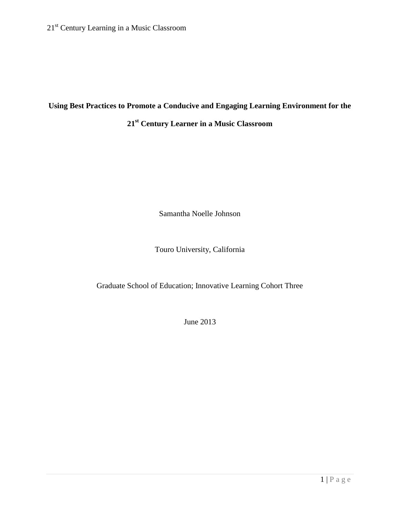# **Using Best Practices to Promote a Conducive and Engaging Learning Environment for the**

# **21st Century Learner in a Music Classroom**

Samantha Noelle Johnson

Touro University, California

Graduate School of Education; Innovative Learning Cohort Three

June 2013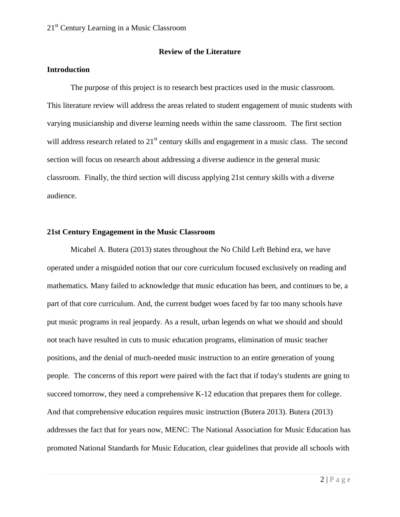#### **Review of the Literature**

### **Introduction**

The purpose of this project is to research best practices used in the music classroom. This literature review will address the areas related to student engagement of music students with varying musicianship and diverse learning needs within the same classroom. The first section will address research related to  $21<sup>st</sup>$  century skills and engagement in a music class. The second section will focus on research about addressing a diverse audience in the general music classroom. Finally, the third section will discuss applying 21st century skills with a diverse audience.

#### **21st Century Engagement in the Music Classroom**

Micahel A. Butera (2013) states throughout the No Child Left Behind era, we have operated under a misguided notion that our core curriculum focused exclusively on reading and mathematics. Many failed to acknowledge that music education has been, and continues to be, a part of that core curriculum. And, the current budget woes faced by far too many schools have put music programs in real jeopardy. As a result, urban legends on what we should and should not teach have resulted in cuts to music education programs, elimination of music teacher positions, and the denial of much-needed music instruction to an entire generation of young people. The concerns of this report were paired with the fact that if today's students are going to succeed tomorrow, they need a comprehensive K-12 education that prepares them for college. And that comprehensive education requires music instruction (Butera 2013). Butera (2013) addresses the fact that for years now, MENC: The National Association for Music Education has promoted National Standards for Music Education, clear guidelines that provide all schools with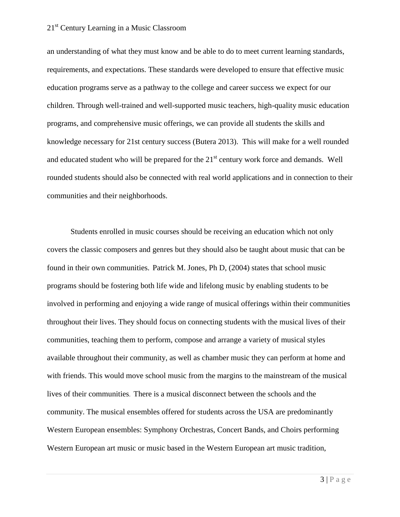an understanding of what they must know and be able to do to meet current learning standards, requirements, and expectations. These standards were developed to ensure that effective music education programs serve as a pathway to the college and career success we expect for our children. Through well-trained and well-supported music teachers, high-quality music education programs, and comprehensive music offerings, we can provide all students the skills and knowledge necessary for 21st century success (Butera 2013). This will make for a well rounded and educated student who will be prepared for the  $21<sup>st</sup>$  century work force and demands. Well rounded students should also be connected with real world applications and in connection to their communities and their neighborhoods.

Students enrolled in music courses should be receiving an education which not only covers the classic composers and genres but they should also be taught about music that can be found in their own communities. Patrick M. Jones, Ph D, (2004) states that school music programs should be fostering both life wide and lifelong music by enabling students to be involved in performing and enjoying a wide range of musical offerings within their communities throughout their lives. They should focus on connecting students with the musical lives of their communities, teaching them to perform, compose and arrange a variety of musical styles available throughout their community, as well as chamber music they can perform at home and with friends. This would move school music from the margins to the mainstream of the musical lives of their communities. There is a musical disconnect between the schools and the community. The musical ensembles offered for students across the USA are predominantly Western European ensembles: Symphony Orchestras, Concert Bands, and Choirs performing Western European art music or music based in the Western European art music tradition,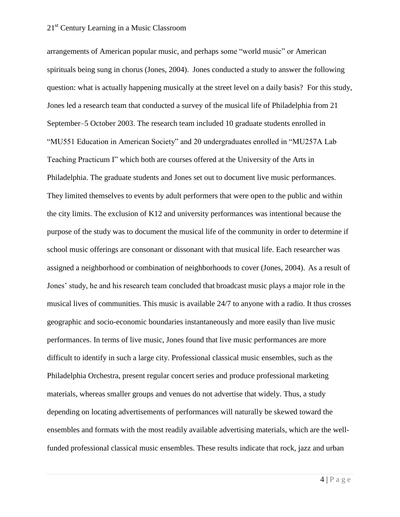arrangements of American popular music, and perhaps some "world music" or American spirituals being sung in chorus (Jones, 2004). Jones conducted a study to answer the following question: what is actually happening musically at the street level on a daily basis? For this study, Jones led a research team that conducted a survey of the musical life of Philadelphia from 21 September–5 October 2003. The research team included 10 graduate students enrolled in "MU551 Education in American Society" and 20 undergraduates enrolled in "MU257A Lab Teaching Practicum I" which both are courses offered at the University of the Arts in Philadelphia. The graduate students and Jones set out to document live music performances. They limited themselves to events by adult performers that were open to the public and within the city limits. The exclusion of K12 and university performances was intentional because the purpose of the study was to document the musical life of the community in order to determine if school music offerings are consonant or dissonant with that musical life. Each researcher was assigned a neighborhood or combination of neighborhoods to cover (Jones, 2004). As a result of Jones' study, he and his research team concluded that broadcast music plays a major role in the musical lives of communities. This music is available 24/7 to anyone with a radio. It thus crosses geographic and socio-economic boundaries instantaneously and more easily than live music performances. In terms of live music, Jones found that live music performances are more difficult to identify in such a large city. Professional classical music ensembles, such as the Philadelphia Orchestra, present regular concert series and produce professional marketing materials, whereas smaller groups and venues do not advertise that widely. Thus, a study depending on locating advertisements of performances will naturally be skewed toward the ensembles and formats with the most readily available advertising materials, which are the wellfunded professional classical music ensembles. These results indicate that rock, jazz and urban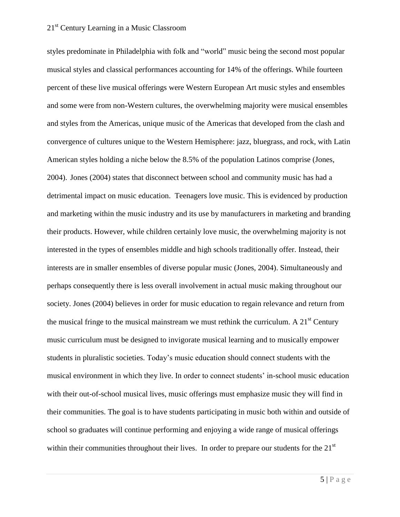styles predominate in Philadelphia with folk and "world" music being the second most popular musical styles and classical performances accounting for 14% of the offerings. While fourteen percent of these live musical offerings were Western European Art music styles and ensembles and some were from non-Western cultures, the overwhelming majority were musical ensembles and styles from the Americas, unique music of the Americas that developed from the clash and convergence of cultures unique to the Western Hemisphere: jazz, bluegrass, and rock, with Latin American styles holding a niche below the 8.5% of the population Latinos comprise (Jones, 2004). Jones (2004) states that disconnect between school and community music has had a detrimental impact on music education. Teenagers love music. This is evidenced by production and marketing within the music industry and its use by manufacturers in marketing and branding their products. However, while children certainly love music, the overwhelming majority is not interested in the types of ensembles middle and high schools traditionally offer. Instead, their interests are in smaller ensembles of diverse popular music (Jones, 2004). Simultaneously and perhaps consequently there is less overall involvement in actual music making throughout our society. Jones (2004) believes in order for music education to regain relevance and return from the musical fringe to the musical mainstream we must rethink the curriculum. A  $21<sup>st</sup>$  Century music curriculum must be designed to invigorate musical learning and to musically empower students in pluralistic societies. Today's music education should connect students with the musical environment in which they live. In order to connect students' in-school music education with their out-of-school musical lives, music offerings must emphasize music they will find in their communities. The goal is to have students participating in music both within and outside of school so graduates will continue performing and enjoying a wide range of musical offerings within their communities throughout their lives. In order to prepare our students for the 21<sup>st</sup>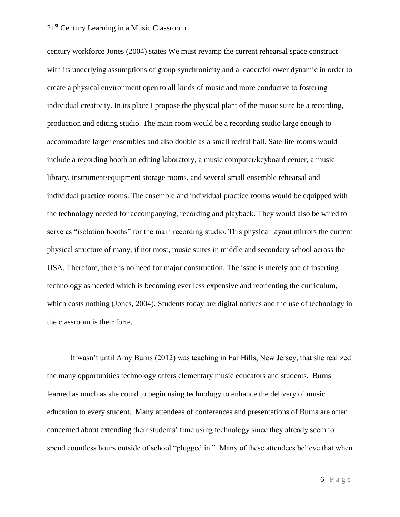century workforce Jones (2004) states We must revamp the current rehearsal space construct with its underlying assumptions of group synchronicity and a leader/follower dynamic in order to create a physical environment open to all kinds of music and more conducive to fostering individual creativity. In its place I propose the physical plant of the music suite be a recording, production and editing studio. The main room would be a recording studio large enough to accommodate larger ensembles and also double as a small recital hall. Satellite rooms would include a recording booth an editing laboratory, a music computer/keyboard center, a music library, instrument/equipment storage rooms, and several small ensemble rehearsal and individual practice rooms. The ensemble and individual practice rooms would be equipped with the technology needed for accompanying, recording and playback. They would also be wired to serve as "isolation booths" for the main recording studio. This physical layout mirrors the current physical structure of many, if not most, music suites in middle and secondary school across the USA. Therefore, there is no need for major construction. The issue is merely one of inserting technology as needed which is becoming ever less expensive and reorienting the curriculum, which costs nothing (Jones, 2004). Students today are digital natives and the use of technology in the classroom is their forte.

It wasn't until Amy Burns (2012) was teaching in Far Hills, New Jersey, that she realized the many opportunities technology offers elementary music educators and students. Burns learned as much as she could to begin using technology to enhance the delivery of music education to every student. Many attendees of conferences and presentations of Burns are often concerned about extending their students' time using technology since they already seem to spend countless hours outside of school "plugged in." Many of these attendees believe that when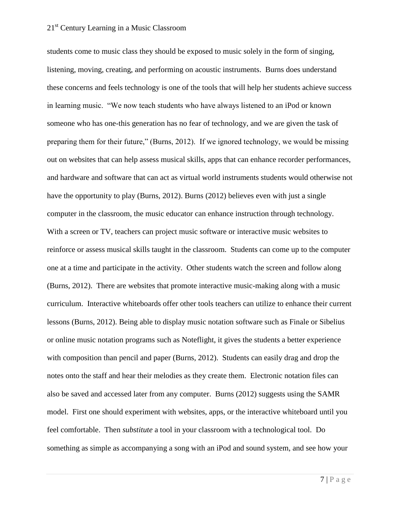students come to music class they should be exposed to music solely in the form of singing, listening, moving, creating, and performing on acoustic instruments. Burns does understand these concerns and feels technology is one of the tools that will help her students achieve success in learning music. "We now teach students who have always listened to an iPod or known someone who has one-this generation has no fear of technology, and we are given the task of preparing them for their future," (Burns, 2012). If we ignored technology, we would be missing out on websites that can help assess musical skills, apps that can enhance recorder performances, and hardware and software that can act as virtual world instruments students would otherwise not have the opportunity to play (Burns, 2012). Burns (2012) believes even with just a single computer in the classroom, the music educator can enhance instruction through technology. With a screen or TV, teachers can project music software or interactive music websites to reinforce or assess musical skills taught in the classroom. Students can come up to the computer one at a time and participate in the activity. Other students watch the screen and follow along (Burns, 2012). There are websites that promote interactive music-making along with a music curriculum. Interactive whiteboards offer other tools teachers can utilize to enhance their current lessons (Burns, 2012). Being able to display music notation software such as Finale or Sibelius or online music notation programs such as Noteflight, it gives the students a better experience with composition than pencil and paper (Burns, 2012). Students can easily drag and drop the notes onto the staff and hear their melodies as they create them. Electronic notation files can also be saved and accessed later from any computer. Burns (2012) suggests using the SAMR model. First one should experiment with websites, apps, or the interactive whiteboard until you feel comfortable. Then *substitute* a tool in your classroom with a technological tool. Do something as simple as accompanying a song with an iPod and sound system, and see how your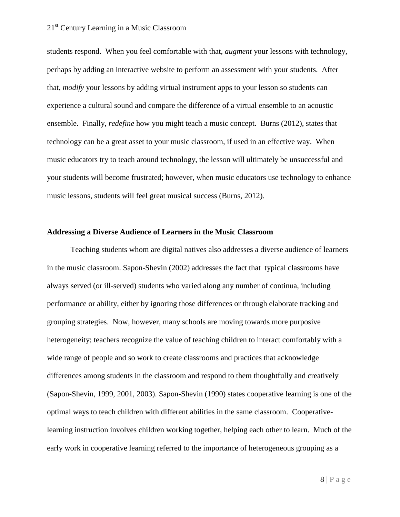students respond. When you feel comfortable with that, *augment* your lessons with technology, perhaps by adding an interactive website to perform an assessment with your students. After that, *modify* your lessons by adding virtual instrument apps to your lesson so students can experience a cultural sound and compare the difference of a virtual ensemble to an acoustic ensemble. Finally, *redefine* how you might teach a music concept. Burns (2012), states that technology can be a great asset to your music classroom, if used in an effective way. When music educators try to teach around technology, the lesson will ultimately be unsuccessful and your students will become frustrated; however, when music educators use technology to enhance music lessons, students will feel great musical success (Burns, 2012).

#### **Addressing a Diverse Audience of Learners in the Music Classroom**

Teaching students whom are digital natives also addresses a diverse audience of learners in the music classroom. Sapon-Shevin (2002) addresses the fact that typical classrooms have always served (or ill-served) students who varied along any number of continua, including performance or ability, either by ignoring those differences or through elaborate tracking and grouping strategies. Now, however, many schools are moving towards more purposive heterogeneity; teachers recognize the value of teaching children to interact comfortably with a wide range of people and so work to create classrooms and practices that acknowledge differences among students in the classroom and respond to them thoughtfully and creatively (Sapon-Shevin, 1999, 2001, 2003). Sapon-Shevin (1990) states cooperative learning is one of the optimal ways to teach children with different abilities in the same classroom. Cooperativelearning instruction involves children working together, helping each other to learn. Much of the early work in cooperative learning referred to the importance of heterogeneous grouping as a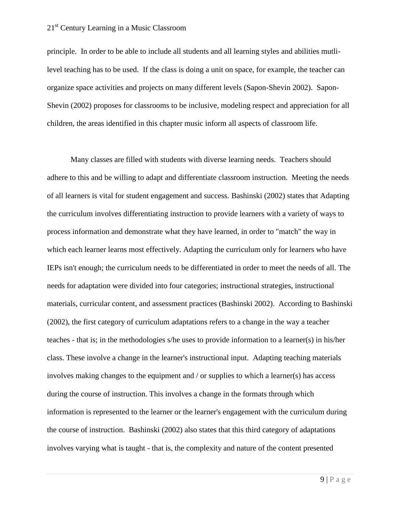principle. In order to be able to include all students and all learning styles and abilities mutlilevel teaching has to be used. If the class is doing a unit on space, for example, the teacher can organize space activities and projects on many different levels (Sapon-Shevin 2002). Sapon-Shevin (2002) proposes for classrooms to be inclusive, modeling respect and appreciation for all children, the areas identified in this chapter music inform all aspects of classroom life.

Many classes are filled with students with diverse learning needs. Teachers should adhere to this and be willing to adapt and differentiate classroom instruction. Meeting the needs of all learners is vital for student engagement and success. Bashinski (2002) states that Adapting the curriculum involves differentiating instruction to provide learners with a variety of ways to process information and demonstrate what they have learned, in order to "match" the way in which each learner learns most effectively. Adapting the curriculum only for learners who have IEPs isn't enough; the curriculum needs to be differentiated in order to meet the needs of all. The needs for adaptation were divided into four categories; instructional strategies, instructional materials, curricular content, and assessment practices (Bashinski 2002). According to Bashinski (2002), the first category of curriculum adaptations refers to a change in the way a teacher teaches - that is; in the methodologies s/he uses to provide information to a learner(s) in his/her class. These involve a change in the learner's instructional input. Adapting teaching materials involves making changes to the equipment and / or supplies to which a learner(s) has access during the course of instruction. This involves a change in the formats through which information is represented to the learner or the learner's engagement with the curriculum during the course of instruction. Bashinski (2002) also states that this third category of adaptations involves varying what is taught - that is, the complexity and nature of the content presented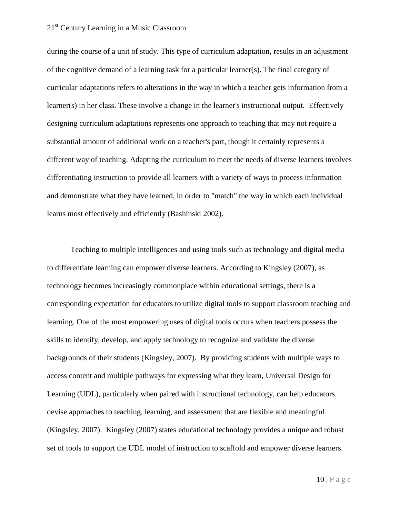during the course of a unit of study. This type of curriculum adaptation, results in an adjustment of the cognitive demand of a learning task for a particular learner(s). The final category of curricular adaptations refers to alterations in the way in which a teacher gets information from a learner(s) in her class. These involve a change in the learner's instructional output. Effectively designing curriculum adaptations represents one approach to teaching that may not require a substantial amount of additional work on a teacher's part, though it certainly represents a different way of teaching. Adapting the curriculum to meet the needs of diverse learners involves differentiating instruction to provide all learners with a variety of ways to process information and demonstrate what they have learned, in order to "match" the way in which each individual learns most effectively and efficiently (Bashinski 2002).

Teaching to multiple intelligences and using tools such as technology and digital media to differentiate learning can empower diverse learners. According to Kingsley (2007), as technology becomes increasingly commonplace within educational settings, there is a corresponding expectation for educators to utilize digital tools to support classroom teaching and learning. One of the most empowering uses of digital tools occurs when teachers possess the skills to identify, develop, and apply technology to recognize and validate the diverse backgrounds of their students (Kingsley, 2007). By providing students with multiple ways to access content and multiple pathways for expressing what they learn, Universal Design for Learning (UDL), particularly when paired with instructional technology, can help educators devise approaches to teaching, learning, and assessment that are flexible and meaningful (Kingsley, 2007). Kingsley (2007) states educational technology provides a unique and robust set of tools to support the UDL model of instruction to scaffold and empower diverse learners.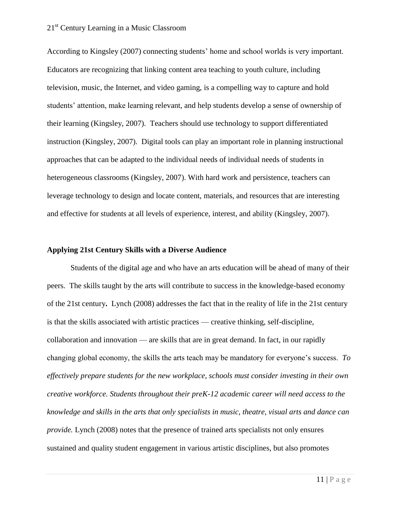According to Kingsley (2007) connecting students' home and school worlds is very important. Educators are recognizing that linking content area teaching to youth culture, including television, music, the Internet, and video gaming, is a compelling way to capture and hold students' attention, make learning relevant, and help students develop a sense of ownership of their learning (Kingsley, 2007). Teachers should use technology to support differentiated instruction (Kingsley, 2007). Digital tools can play an important role in planning instructional approaches that can be adapted to the individual needs of individual needs of students in heterogeneous classrooms (Kingsley, 2007). With hard work and persistence, teachers can leverage technology to design and locate content, materials, and resources that are interesting and effective for students at all levels of experience, interest, and ability (Kingsley, 2007).

#### **Applying 21st Century Skills with a Diverse Audience**

Students of the digital age and who have an arts education will be ahead of many of their peers. The skills taught by the arts will contribute to success in the knowledge-based economy of the 21st century**.** Lynch (2008) addresses the fact that in the reality of life in the 21st century is that the skills associated with artistic practices — creative thinking, self-discipline, collaboration and innovation — are skills that are in great demand. In fact, in our rapidly changing global economy, the skills the arts teach may be mandatory for everyone's success. *To effectively prepare students for the new workplace, schools must consider investing in their own creative workforce. Students throughout their preK-12 academic career will need access to the knowledge and skills in the arts that only specialists in music, theatre, visual arts and dance can provide.* Lynch (2008) notes that the presence of trained arts specialists not only ensures sustained and quality student engagement in various artistic disciplines, but also promotes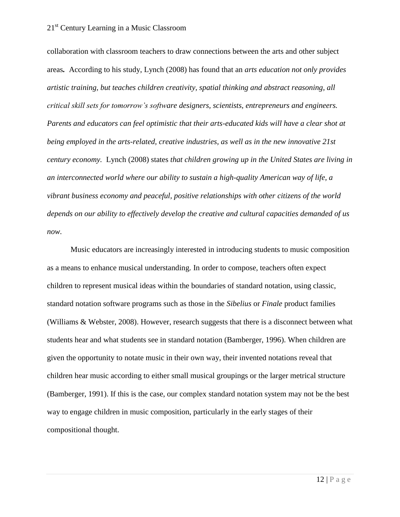collaboration with classroom teachers to draw connections between the arts and other subject areas*.* According to his study, Lynch (2008) has found that an *arts education not only provides artistic training, but teaches children creativity, spatial thinking and abstract reasoning, all critical skill sets for tomorrow's software designers, scientists, entrepreneurs and engineers. Parents and educators can feel optimistic that their arts-educated kids will have a clear shot at being employed in the arts-related, creative industries, as well as in the new innovative 21st century economy.* Lynch (2008) states *that children growing up in the United States are living in an interconnected world where our ability to sustain a high-quality American way of life, a vibrant business economy and peaceful, positive relationships with other citizens of the world depends on our ability to effectively develop the creative and cultural capacities demanded of us now.*

Music educators are increasingly interested in introducing students to music composition as a means to enhance musical understanding. In order to compose, teachers often expect children to represent musical ideas within the boundaries of standard notation, using classic, standard notation software programs such as those in the *Sibelius* or *Finale* product families (Williams & Webster, 2008). However, research suggests that there is a disconnect between what students hear and what students see in standard notation (Bamberger, 1996). When children are given the opportunity to notate music in their own way, their invented notations reveal that children hear music according to either small musical groupings or the larger metrical structure (Bamberger, 1991). If this is the case, our complex standard notation system may not be the best way to engage children in music composition, particularly in the early stages of their compositional thought.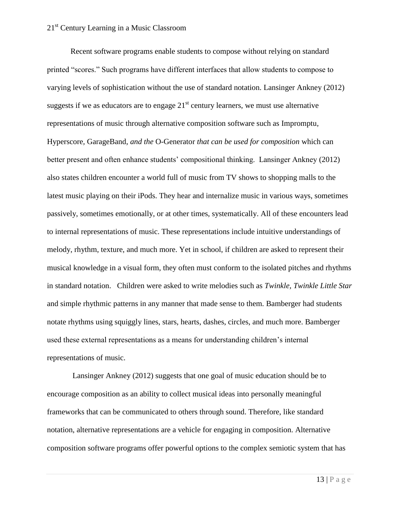Recent software programs enable students to compose without relying on standard printed "scores." Such programs have different interfaces that allow students to compose to varying levels of sophistication without the use of standard notation. Lansinger Ankney (2012) suggests if we as educators are to engage  $21<sup>st</sup>$  century learners, we must use alternative representations of music through alternative composition software such as Impromptu*,*  Hyperscore*,* GarageBand*, and the* O-Generator *that can be used for composition* which can better present and often enhance students' compositional thinking. Lansinger Ankney (2012) also states children encounter a world full of music from TV shows to shopping malls to the latest music playing on their iPods. They hear and internalize music in various ways, sometimes passively, sometimes emotionally, or at other times, systematically. All of these encounters lead to internal representations of music. These representations include intuitive understandings of melody, rhythm, texture, and much more. Yet in school, if children are asked to represent their musical knowledge in a visual form, they often must conform to the isolated pitches and rhythms in standard notation. Children were asked to write melodies such as *Twinkle, Twinkle Little Star*  and simple rhythmic patterns in any manner that made sense to them. Bamberger had students notate rhythms using squiggly lines, stars, hearts, dashes, circles, and much more. Bamberger used these external representations as a means for understanding children's internal representations of music.

Lansinger Ankney (2012) suggests that one goal of music education should be to encourage composition as an ability to collect musical ideas into personally meaningful frameworks that can be communicated to others through sound. Therefore, like standard notation, alternative representations are a vehicle for engaging in composition. Alternative composition software programs offer powerful options to the complex semiotic system that has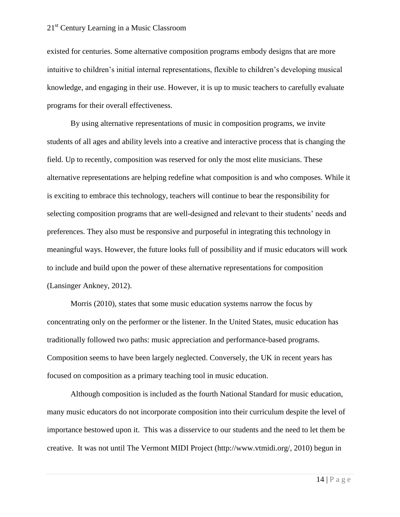existed for centuries. Some alternative composition programs embody designs that are more intuitive to children's initial internal representations, flexible to children's developing musical knowledge, and engaging in their use. However, it is up to music teachers to carefully evaluate programs for their overall effectiveness.

By using alternative representations of music in composition programs, we invite students of all ages and ability levels into a creative and interactive process that is changing the field. Up to recently, composition was reserved for only the most elite musicians. These alternative representations are helping redefine what composition is and who composes. While it is exciting to embrace this technology, teachers will continue to bear the responsibility for selecting composition programs that are well-designed and relevant to their students' needs and preferences. They also must be responsive and purposeful in integrating this technology in meaningful ways. However, the future looks full of possibility and if music educators will work to include and build upon the power of these alternative representations for composition (Lansinger Ankney, 2012).

Morris (2010), states that some music education systems narrow the focus by concentrating only on the performer or the listener. In the United States, music education has traditionally followed two paths: music appreciation and performance-based programs. Composition seems to have been largely neglected. Conversely, the UK in recent years has focused on composition as a primary teaching tool in music education.

Although composition is included as the fourth National Standard for music education, many music educators do not incorporate composition into their curriculum despite the level of importance bestowed upon it. This was a disservice to our students and the need to let them be creative. It was not until The Vermont MIDI Project (http://www.vtmidi.org/, 2010) begun in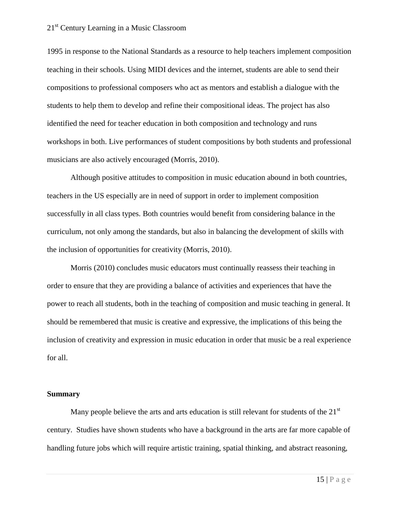1995 in response to the National Standards as a resource to help teachers implement composition teaching in their schools. Using MIDI devices and the internet, students are able to send their compositions to professional composers who act as mentors and establish a dialogue with the students to help them to develop and refine their compositional ideas. The project has also identified the need for teacher education in both composition and technology and runs workshops in both. Live performances of student compositions by both students and professional musicians are also actively encouraged (Morris, 2010).

Although positive attitudes to composition in music education abound in both countries, teachers in the US especially are in need of support in order to implement composition successfully in all class types. Both countries would benefit from considering balance in the curriculum, not only among the standards, but also in balancing the development of skills with the inclusion of opportunities for creativity (Morris, 2010).

Morris (2010) concludes music educators must continually reassess their teaching in order to ensure that they are providing a balance of activities and experiences that have the power to reach all students, both in the teaching of composition and music teaching in general. It should be remembered that music is creative and expressive, the implications of this being the inclusion of creativity and expression in music education in order that music be a real experience for all.

#### **Summary**

Many people believe the arts and arts education is still relevant for students of the  $21<sup>st</sup>$ century. Studies have shown students who have a background in the arts are far more capable of handling future jobs which will require artistic training, spatial thinking, and abstract reasoning,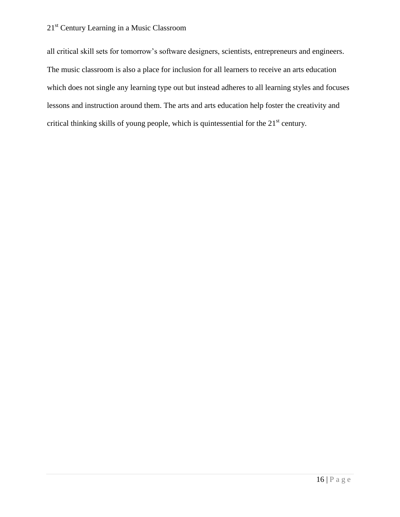all critical skill sets for tomorrow's software designers, scientists, entrepreneurs and engineers. The music classroom is also a place for inclusion for all learners to receive an arts education which does not single any learning type out but instead adheres to all learning styles and focuses lessons and instruction around them. The arts and arts education help foster the creativity and critical thinking skills of young people, which is quintessential for the 21<sup>st</sup> century.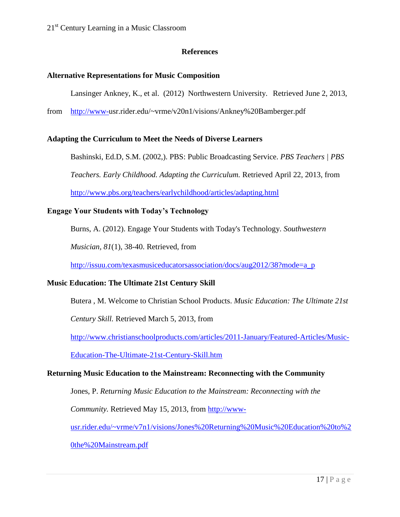# **References**

### **Alternative Representations for Music Composition**

Lansinger Ankney, K., et al. (2012) Northwestern University. Retrieved June 2, 2013,

from [http://www-u](http://www-/)sr.rider.edu/~vrme/v20n1/visions/Ankney%20Bamberger.pdf

### **Adapting the Curriculum to Meet the Needs of Diverse Learners**

Bashinski, Ed.D, S.M. (2002,). PBS: Public Broadcasting Service. *PBS Teachers | PBS* 

*Teachers. Early Childhood. Adapting the Curriculum.* Retrieved April 22, 2013, from

<http://www.pbs.org/teachers/earlychildhood/articles/adapting.html>

### **Engage Your Students with Today's Technology**

Burns, A. (2012). Engage Your Students with Today's Technology. *Southwestern* 

*Musician, 81*(1), 38-40. Retrieved, from

[http://issuu.com/texasmusiceducatorsassociation/docs/aug2012/38?mode=a\\_p](http://issuu.com/texasmusiceducatorsassociation/docs/aug2012/38?mode=a_p)\_

# **Music Education: The Ultimate 21st Century Skill**

Butera , M. Welcome to Christian School Products. *Music Education: The Ultimate 21st* 

*Century Skill.* Retrieved March 5, 2013, from

[http://www.christianschoolproducts.com/articles/2011-January/Featured-Articles/Music-](http://www.christianschoolproducts.com/articles/2011-January/Featured-Articles/Music-Education-The-Ultimate-21st-Century-Skill.htm)

[Education-The-Ultimate-21st-Century-Skill.htm](http://www.christianschoolproducts.com/articles/2011-January/Featured-Articles/Music-Education-The-Ultimate-21st-Century-Skill.htm)

#### **Returning Music Education to the Mainstream: Reconnecting with the Community**

Jones, P. *Returning Music Education to the Mainstream: Reconnecting with the* 

*Community.* Retrieved May 15, 2013, from [http://www-](http://www-usr.rider.edu/~vrme/v7n1/visions/Jones%20Returning%20Music%20Education%20to%20the%20Mainstream.pdf)

[usr.rider.edu/~vrme/v7n1/visions/Jones%20Returning%20Music%20Education%20to%2](http://www-usr.rider.edu/~vrme/v7n1/visions/Jones%20Returning%20Music%20Education%20to%20the%20Mainstream.pdf)

[0the%20Mainstream.pdf](http://www-usr.rider.edu/~vrme/v7n1/visions/Jones%20Returning%20Music%20Education%20to%20the%20Mainstream.pdf)